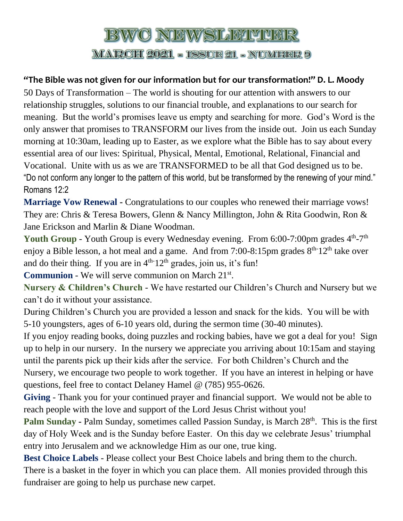## BWC NEWSLETVER

**MARCH 2021 - ISSUE 21 - NUMBER 9** 

## **"The Bible was not given for our information but for our transformation!" D. L. Moody**

50 Days of Transformation – The world is shouting for our attention with answers to our relationship struggles, solutions to our financial trouble, and explanations to our search for meaning. But the world's promises leave us empty and searching for more. God's Word is the only answer that promises to TRANSFORM our lives from the inside out. Join us each Sunday morning at 10:30am, leading up to Easter, as we explore what the Bible has to say about every essential area of our lives: Spiritual, Physical, Mental, Emotional, Relational, Financial and Vocational. Unite with us as we are TRANSFORMED to be all that God designed us to be. "Do not conform any longer to the pattern of this world, but be transformed by the renewing of your mind." Romans 12:2

**Marriage Vow Renewal -** Congratulations to our couples who renewed their marriage vows! They are: Chris & Teresa Bowers, Glenn & Nancy Millington, John & Rita Goodwin, Ron & Jane Erickson and Marlin & Diane Woodman.

Youth Group - Youth Group is every Wednesday evening. From 6:00-7:00pm grades 4<sup>th</sup>-7<sup>th</sup> enjoy a Bible lesson, a hot meal and a game. And from 7:00-8:15pm grades 8<sup>th-12th</sup> take over and do their thing. If you are in  $4<sup>th-12<sup>th</sup></sup>$  grades, join us, it's fun!

Communion - We will serve communion on March 21<sup>st</sup>.

**Nursery & Children's Church** - We have restarted our Children's Church and Nursery but we can't do it without your assistance.

During Children's Church you are provided a lesson and snack for the kids. You will be with 5-10 youngsters, ages of 6-10 years old, during the sermon time (30-40 minutes).

If you enjoy reading books, doing puzzles and rocking babies, have we got a deal for you! Sign up to help in our nursery. In the nursery we appreciate you arriving about 10:15am and staying until the parents pick up their kids after the service. For both Children's Church and the Nursery, we encourage two people to work together. If you have an interest in helping or have questions, feel free to contact Delaney Hamel @ (785) 955-0626.

**Giving** - Thank you for your continued prayer and financial support. We would not be able to reach people with the love and support of the Lord Jesus Christ without you!

**Palm Sunday -** Palm Sunday, sometimes called Passion Sunday, is March 28<sup>th</sup>. This is the first day of Holy Week and is the Sunday before Easter. On this day we celebrate Jesus' triumphal entry into Jerusalem and we acknowledge Him as our one, true king.

**Best Choice Labels** - Please collect your Best Choice labels and bring them to the church. There is a basket in the foyer in which you can place them. All monies provided through this fundraiser are going to help us purchase new carpet.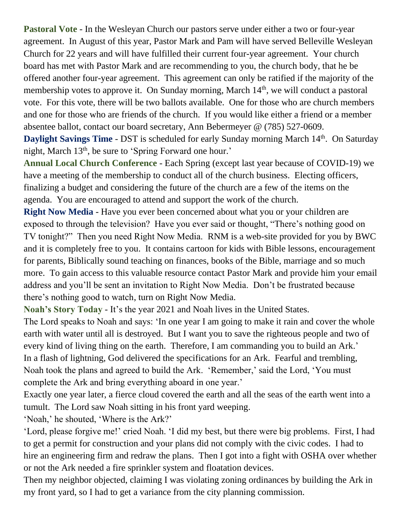**Pastoral Vote** - In the Wesleyan Church our pastors serve under either a two or four-year agreement. In August of this year, Pastor Mark and Pam will have served Belleville Wesleyan Church for 22 years and will have fulfilled their current four-year agreement. Your church board has met with Pastor Mark and are recommending to you, the church body, that he be offered another four-year agreement. This agreement can only be ratified if the majority of the membership votes to approve it. On Sunday morning, March 14<sup>th</sup>, we will conduct a pastoral vote. For this vote, there will be two ballots available. One for those who are church members and one for those who are friends of the church. If you would like either a friend or a member absentee ballot, contact our board secretary, Ann Bebermeyer @ (785) 527-0609.

**Daylight Savings Time** - DST is scheduled for early Sunday morning March 14<sup>th</sup>. On Saturday night, March 13<sup>th</sup>, be sure to 'Spring Forward one hour.'

**Annual Local Church Conference** - Each Spring (except last year because of COVID-19) we have a meeting of the membership to conduct all of the church business. Electing officers, finalizing a budget and considering the future of the church are a few of the items on the agenda. You are encouraged to attend and support the work of the church.

**Right Now Media** - Have you ever been concerned about what you or your children are exposed to through the television? Have you ever said or thought, "There's nothing good on TV tonight?" Then you need Right Now Media. RNM is a web-site provided for you by BWC and it is completely free to you. It contains cartoon for kids with Bible lessons, encouragement for parents, Biblically sound teaching on finances, books of the Bible, marriage and so much more. To gain access to this valuable resource contact Pastor Mark and provide him your email address and you'll be sent an invitation to Right Now Media. Don't be frustrated because there's nothing good to watch, turn on Right Now Media.

**Noah's Story Today** - It's the year 2021 and Noah lives in the United States.

The Lord speaks to Noah and says: 'In one year I am going to make it rain and cover the whole earth with water until all is destroyed. But I want you to save the righteous people and two of every kind of living thing on the earth. Therefore, I am commanding you to build an Ark.' In a flash of lightning, God delivered the specifications for an Ark. Fearful and trembling, Noah took the plans and agreed to build the Ark. 'Remember,' said the Lord, 'You must complete the Ark and bring everything aboard in one year.'

Exactly one year later, a fierce cloud covered the earth and all the seas of the earth went into a tumult. The Lord saw Noah sitting in his front yard weeping.

'Noah,' he shouted, 'Where is the Ark?'

'Lord, please forgive me!' cried Noah. 'I did my best, but there were big problems. First, I had to get a permit for construction and your plans did not comply with the civic codes. I had to hire an engineering firm and redraw the plans. Then I got into a fight with OSHA over whether or not the Ark needed a fire sprinkler system and floatation devices.

Then my neighbor objected, claiming I was violating zoning ordinances by building the Ark in my front yard, so I had to get a variance from the city planning commission.